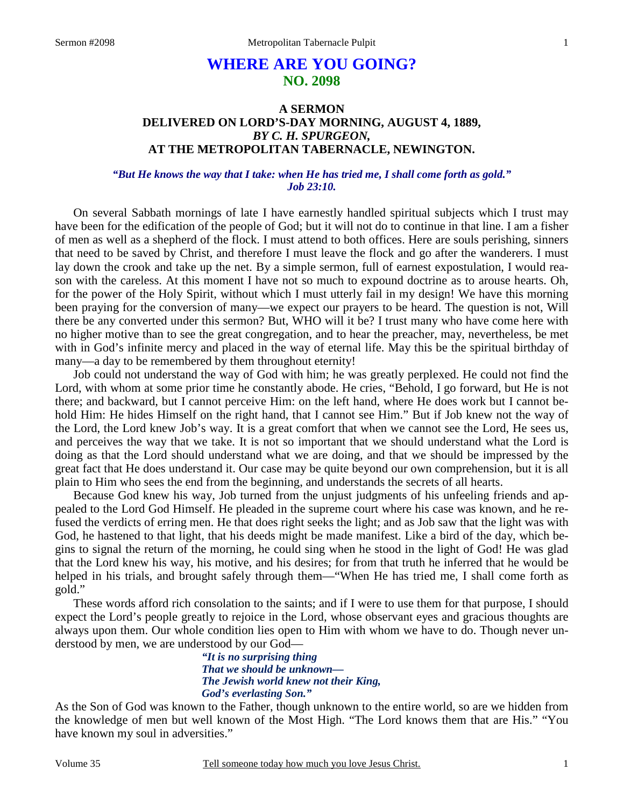# **WHERE ARE YOU GOING? NO. 2098**

# **A SERMON DELIVERED ON LORD'S-DAY MORNING, AUGUST 4, 1889,**  *BY C. H. SPURGEON,*  **AT THE METROPOLITAN TABERNACLE, NEWINGTON.**

### *"But He knows the way that I take: when He has tried me, I shall come forth as gold." Job 23:10.*

On several Sabbath mornings of late I have earnestly handled spiritual subjects which I trust may have been for the edification of the people of God; but it will not do to continue in that line. I am a fisher of men as well as a shepherd of the flock. I must attend to both offices. Here are souls perishing, sinners that need to be saved by Christ, and therefore I must leave the flock and go after the wanderers. I must lay down the crook and take up the net. By a simple sermon, full of earnest expostulation, I would reason with the careless. At this moment I have not so much to expound doctrine as to arouse hearts. Oh, for the power of the Holy Spirit, without which I must utterly fail in my design! We have this morning been praying for the conversion of many—we expect our prayers to be heard. The question is not, Will there be any converted under this sermon? But, WHO will it be? I trust many who have come here with no higher motive than to see the great congregation, and to hear the preacher, may, nevertheless, be met with in God's infinite mercy and placed in the way of eternal life. May this be the spiritual birthday of many—a day to be remembered by them throughout eternity!

Job could not understand the way of God with him; he was greatly perplexed. He could not find the Lord, with whom at some prior time he constantly abode. He cries, "Behold, I go forward, but He is not there; and backward, but I cannot perceive Him: on the left hand, where He does work but I cannot behold Him: He hides Himself on the right hand, that I cannot see Him." But if Job knew not the way of the Lord, the Lord knew Job's way. It is a great comfort that when we cannot see the Lord, He sees us, and perceives the way that we take. It is not so important that we should understand what the Lord is doing as that the Lord should understand what we are doing, and that we should be impressed by the great fact that He does understand it. Our case may be quite beyond our own comprehension, but it is all plain to Him who sees the end from the beginning, and understands the secrets of all hearts.

Because God knew his way, Job turned from the unjust judgments of his unfeeling friends and appealed to the Lord God Himself. He pleaded in the supreme court where his case was known, and he refused the verdicts of erring men. He that does right seeks the light; and as Job saw that the light was with God, he hastened to that light, that his deeds might be made manifest. Like a bird of the day, which begins to signal the return of the morning, he could sing when he stood in the light of God! He was glad that the Lord knew his way, his motive, and his desires; for from that truth he inferred that he would be helped in his trials, and brought safely through them—"When He has tried me, I shall come forth as gold."

These words afford rich consolation to the saints; and if I were to use them for that purpose, I should expect the Lord's people greatly to rejoice in the Lord, whose observant eyes and gracious thoughts are always upon them. Our whole condition lies open to Him with whom we have to do. Though never understood by men, we are understood by our God—

> *"It is no surprising thing That we should be unknown— The Jewish world knew not their King, God's everlasting Son."*

As the Son of God was known to the Father, though unknown to the entire world, so are we hidden from the knowledge of men but well known of the Most High. "The Lord knows them that are His." "You have known my soul in adversities."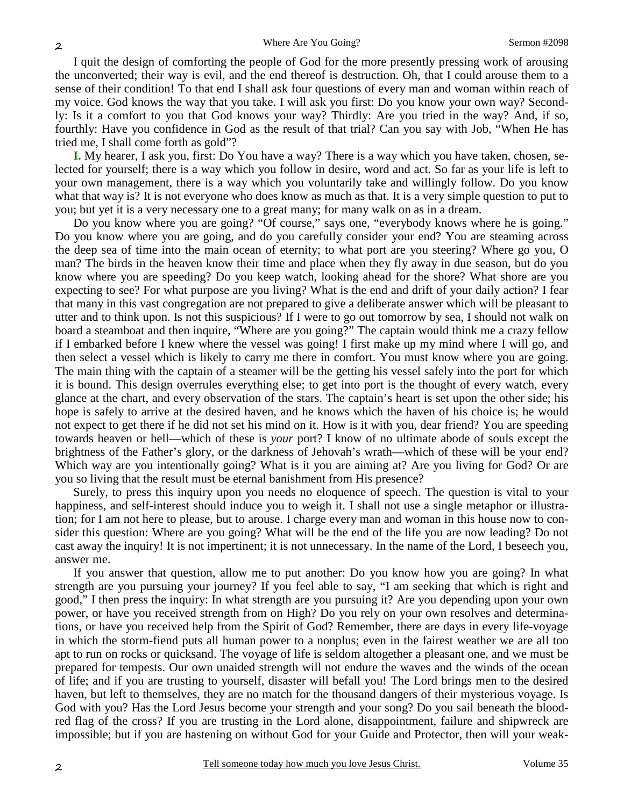I quit the design of comforting the people of God for the more presently pressing work of arousing the unconverted; their way is evil, and the end thereof is destruction. Oh, that I could arouse them to a sense of their condition! To that end I shall ask four questions of every man and woman within reach of my voice. God knows the way that you take. I will ask you first: Do you know your own way? Secondly: Is it a comfort to you that God knows your way? Thirdly: Are you tried in the way? And, if so, fourthly: Have you confidence in God as the result of that trial? Can you say with Job, "When He has tried me, I shall come forth as gold"?

**I.** My hearer, I ask you, first: Do You have a way? There is a way which you have taken, chosen, selected for yourself; there is a way which you follow in desire, word and act. So far as your life is left to your own management, there is a way which you voluntarily take and willingly follow. Do you know what that way is? It is not everyone who does know as much as that. It is a very simple question to put to you; but yet it is a very necessary one to a great many; for many walk on as in a dream.

Do you know where you are going? "Of course," says one, "everybody knows where he is going." Do you know where you are going, and do you carefully consider your end? You are steaming across the deep sea of time into the main ocean of eternity; to what port are you steering? Where go you, O man? The birds in the heaven know their time and place when they fly away in due season, but do you know where you are speeding? Do you keep watch, looking ahead for the shore? What shore are you expecting to see? For what purpose are you living? What is the end and drift of your daily action? I fear that many in this vast congregation are not prepared to give a deliberate answer which will be pleasant to utter and to think upon. Is not this suspicious? If I were to go out tomorrow by sea, I should not walk on board a steamboat and then inquire, "Where are you going?" The captain would think me a crazy fellow if I embarked before I knew where the vessel was going! I first make up my mind where I will go, and then select a vessel which is likely to carry me there in comfort. You must know where you are going. The main thing with the captain of a steamer will be the getting his vessel safely into the port for which it is bound. This design overrules everything else; to get into port is the thought of every watch, every glance at the chart, and every observation of the stars. The captain's heart is set upon the other side; his hope is safely to arrive at the desired haven, and he knows which the haven of his choice is; he would not expect to get there if he did not set his mind on it. How is it with you, dear friend? You are speeding towards heaven or hell—which of these is *your* port? I know of no ultimate abode of souls except the brightness of the Father's glory, or the darkness of Jehovah's wrath—which of these will be your end? Which way are you intentionally going? What is it you are aiming at? Are you living for God? Or are you so living that the result must be eternal banishment from His presence?

Surely, to press this inquiry upon you needs no eloquence of speech. The question is vital to your happiness, and self-interest should induce you to weigh it. I shall not use a single metaphor or illustration; for I am not here to please, but to arouse. I charge every man and woman in this house now to consider this question: Where are you going? What will be the end of the life you are now leading? Do not cast away the inquiry! It is not impertinent; it is not unnecessary. In the name of the Lord, I beseech you, answer me.

If you answer that question, allow me to put another: Do you know how you are going? In what strength are you pursuing your journey? If you feel able to say, "I am seeking that which is right and good," I then press the inquiry: In what strength are you pursuing it? Are you depending upon your own power, or have you received strength from on High? Do you rely on your own resolves and determinations, or have you received help from the Spirit of God? Remember, there are days in every life-voyage in which the storm-fiend puts all human power to a nonplus; even in the fairest weather we are all too apt to run on rocks or quicksand. The voyage of life is seldom altogether a pleasant one, and we must be prepared for tempests. Our own unaided strength will not endure the waves and the winds of the ocean of life; and if you are trusting to yourself, disaster will befall you! The Lord brings men to the desired haven, but left to themselves, they are no match for the thousand dangers of their mysterious voyage. Is God with you? Has the Lord Jesus become your strength and your song? Do you sail beneath the bloodred flag of the cross? If you are trusting in the Lord alone, disappointment, failure and shipwreck are impossible; but if you are hastening on without God for your Guide and Protector, then will your weak-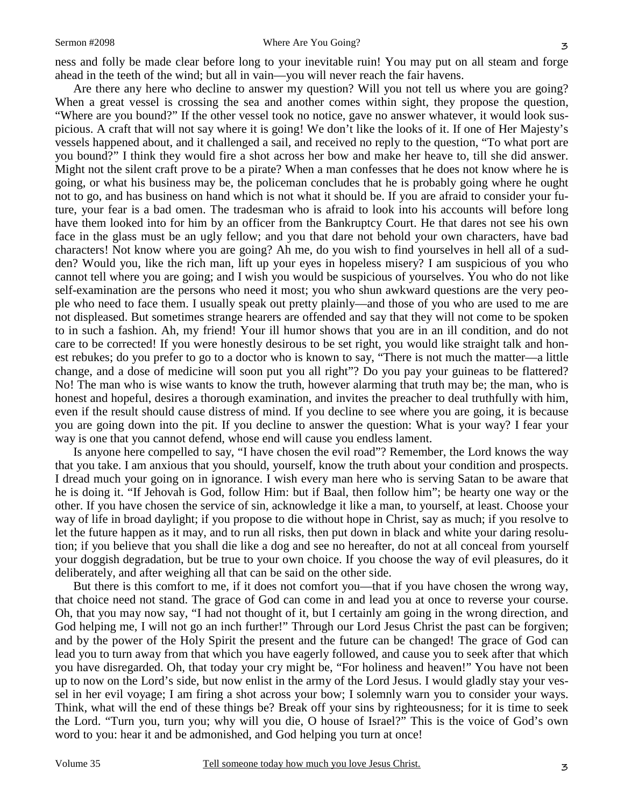#### Sermon #2098 Where Are You Going?

ness and folly be made clear before long to your inevitable ruin! You may put on all steam and forge ahead in the teeth of the wind; but all in vain—you will never reach the fair havens.

Are there any here who decline to answer my question? Will you not tell us where you are going? When a great vessel is crossing the sea and another comes within sight, they propose the question, "Where are you bound?" If the other vessel took no notice, gave no answer whatever, it would look suspicious. A craft that will not say where it is going! We don't like the looks of it. If one of Her Majesty's vessels happened about, and it challenged a sail, and received no reply to the question, "To what port are you bound?" I think they would fire a shot across her bow and make her heave to, till she did answer. Might not the silent craft prove to be a pirate? When a man confesses that he does not know where he is going, or what his business may be, the policeman concludes that he is probably going where he ought not to go, and has business on hand which is not what it should be. If you are afraid to consider your future, your fear is a bad omen. The tradesman who is afraid to look into his accounts will before long have them looked into for him by an officer from the Bankruptcy Court. He that dares not see his own face in the glass must be an ugly fellow; and you that dare not behold your own characters, have bad characters! Not know where you are going? Ah me, do you wish to find yourselves in hell all of a sudden? Would you, like the rich man, lift up your eyes in hopeless misery? I am suspicious of you who cannot tell where you are going; and I wish you would be suspicious of yourselves. You who do not like self-examination are the persons who need it most; you who shun awkward questions are the very people who need to face them. I usually speak out pretty plainly—and those of you who are used to me are not displeased. But sometimes strange hearers are offended and say that they will not come to be spoken to in such a fashion. Ah, my friend! Your ill humor shows that you are in an ill condition, and do not care to be corrected! If you were honestly desirous to be set right, you would like straight talk and honest rebukes; do you prefer to go to a doctor who is known to say, "There is not much the matter—a little change, and a dose of medicine will soon put you all right"? Do you pay your guineas to be flattered? No! The man who is wise wants to know the truth, however alarming that truth may be; the man, who is honest and hopeful, desires a thorough examination, and invites the preacher to deal truthfully with him, even if the result should cause distress of mind. If you decline to see where you are going, it is because you are going down into the pit. If you decline to answer the question: What is your way? I fear your way is one that you cannot defend, whose end will cause you endless lament.

Is anyone here compelled to say, "I have chosen the evil road"? Remember, the Lord knows the way that you take. I am anxious that you should, yourself, know the truth about your condition and prospects. I dread much your going on in ignorance. I wish every man here who is serving Satan to be aware that he is doing it. "If Jehovah is God, follow Him: but if Baal, then follow him"; be hearty one way or the other. If you have chosen the service of sin, acknowledge it like a man, to yourself, at least. Choose your way of life in broad daylight; if you propose to die without hope in Christ, say as much; if you resolve to let the future happen as it may, and to run all risks, then put down in black and white your daring resolution; if you believe that you shall die like a dog and see no hereafter, do not at all conceal from yourself your doggish degradation, but be true to your own choice. If you choose the way of evil pleasures, do it deliberately, and after weighing all that can be said on the other side.

But there is this comfort to me, if it does not comfort you—that if you have chosen the wrong way, that choice need not stand. The grace of God can come in and lead you at once to reverse your course. Oh, that you may now say, "I had not thought of it, but I certainly am going in the wrong direction, and God helping me, I will not go an inch further!" Through our Lord Jesus Christ the past can be forgiven; and by the power of the Holy Spirit the present and the future can be changed! The grace of God can lead you to turn away from that which you have eagerly followed, and cause you to seek after that which you have disregarded. Oh, that today your cry might be, "For holiness and heaven!" You have not been up to now on the Lord's side, but now enlist in the army of the Lord Jesus. I would gladly stay your vessel in her evil voyage; I am firing a shot across your bow; I solemnly warn you to consider your ways. Think, what will the end of these things be? Break off your sins by righteousness; for it is time to seek the Lord. "Turn you, turn you; why will you die, O house of Israel?" This is the voice of God's own word to you: hear it and be admonished, and God helping you turn at once!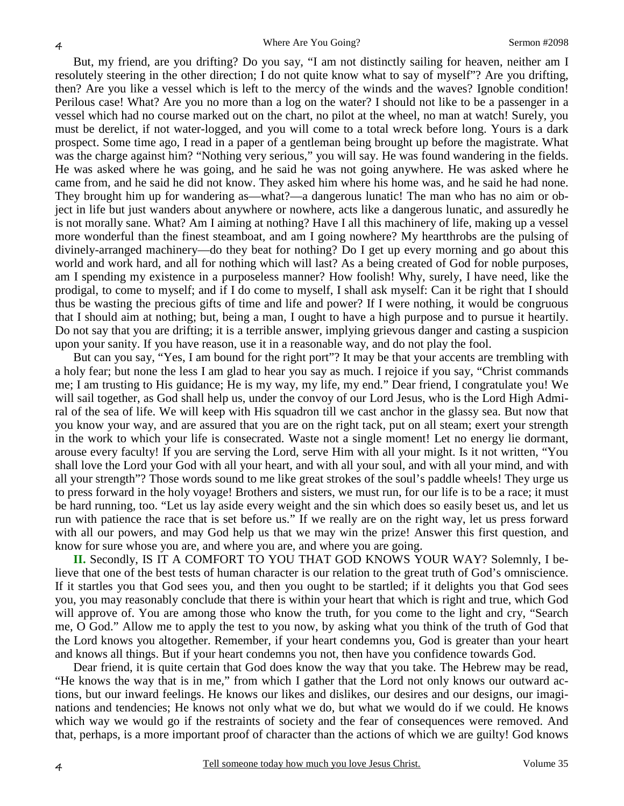But, my friend, are you drifting? Do you say, "I am not distinctly sailing for heaven, neither am I resolutely steering in the other direction; I do not quite know what to say of myself"? Are you drifting, then? Are you like a vessel which is left to the mercy of the winds and the waves? Ignoble condition! Perilous case! What? Are you no more than a log on the water? I should not like to be a passenger in a vessel which had no course marked out on the chart, no pilot at the wheel, no man at watch! Surely, you must be derelict, if not water-logged, and you will come to a total wreck before long. Yours is a dark prospect. Some time ago, I read in a paper of a gentleman being brought up before the magistrate. What was the charge against him? "Nothing very serious," you will say. He was found wandering in the fields. He was asked where he was going, and he said he was not going anywhere. He was asked where he came from, and he said he did not know. They asked him where his home was, and he said he had none. They brought him up for wandering as—what?—a dangerous lunatic! The man who has no aim or object in life but just wanders about anywhere or nowhere, acts like a dangerous lunatic, and assuredly he is not morally sane. What? Am I aiming at nothing? Have I all this machinery of life, making up a vessel more wonderful than the finest steamboat, and am I going nowhere? My heartthrobs are the pulsing of divinely-arranged machinery—do they beat for nothing? Do I get up every morning and go about this world and work hard, and all for nothing which will last? As a being created of God for noble purposes, am I spending my existence in a purposeless manner? How foolish! Why, surely, I have need, like the prodigal, to come to myself; and if I do come to myself, I shall ask myself: Can it be right that I should thus be wasting the precious gifts of time and life and power? If I were nothing, it would be congruous that I should aim at nothing; but, being a man, I ought to have a high purpose and to pursue it heartily. Do not say that you are drifting; it is a terrible answer, implying grievous danger and casting a suspicion upon your sanity. If you have reason, use it in a reasonable way, and do not play the fool.

But can you say, "Yes, I am bound for the right port"? It may be that your accents are trembling with a holy fear; but none the less I am glad to hear you say as much. I rejoice if you say, "Christ commands me; I am trusting to His guidance; He is my way, my life, my end." Dear friend, I congratulate you! We will sail together, as God shall help us, under the convoy of our Lord Jesus, who is the Lord High Admiral of the sea of life. We will keep with His squadron till we cast anchor in the glassy sea. But now that you know your way, and are assured that you are on the right tack, put on all steam; exert your strength in the work to which your life is consecrated. Waste not a single moment! Let no energy lie dormant, arouse every faculty! If you are serving the Lord, serve Him with all your might. Is it not written, "You shall love the Lord your God with all your heart, and with all your soul, and with all your mind, and with all your strength"? Those words sound to me like great strokes of the soul's paddle wheels! They urge us to press forward in the holy voyage! Brothers and sisters, we must run, for our life is to be a race; it must be hard running, too. "Let us lay aside every weight and the sin which does so easily beset us, and let us run with patience the race that is set before us." If we really are on the right way, let us press forward with all our powers, and may God help us that we may win the prize! Answer this first question, and know for sure whose you are, and where you are, and where you are going.

**II.** Secondly, IS IT A COMFORT TO YOU THAT GOD KNOWS YOUR WAY? Solemnly, I believe that one of the best tests of human character is our relation to the great truth of God's omniscience. If it startles you that God sees you, and then you ought to be startled; if it delights you that God sees you, you may reasonably conclude that there is within your heart that which is right and true, which God will approve of. You are among those who know the truth, for you come to the light and cry, "Search me, O God." Allow me to apply the test to you now, by asking what you think of the truth of God that the Lord knows you altogether. Remember, if your heart condemns you, God is greater than your heart and knows all things. But if your heart condemns you not, then have you confidence towards God.

Dear friend, it is quite certain that God does know the way that you take. The Hebrew may be read, "He knows the way that is in me," from which I gather that the Lord not only knows our outward actions, but our inward feelings. He knows our likes and dislikes, our desires and our designs, our imaginations and tendencies; He knows not only what we do, but what we would do if we could. He knows which way we would go if the restraints of society and the fear of consequences were removed. And that, perhaps, is a more important proof of character than the actions of which we are guilty! God knows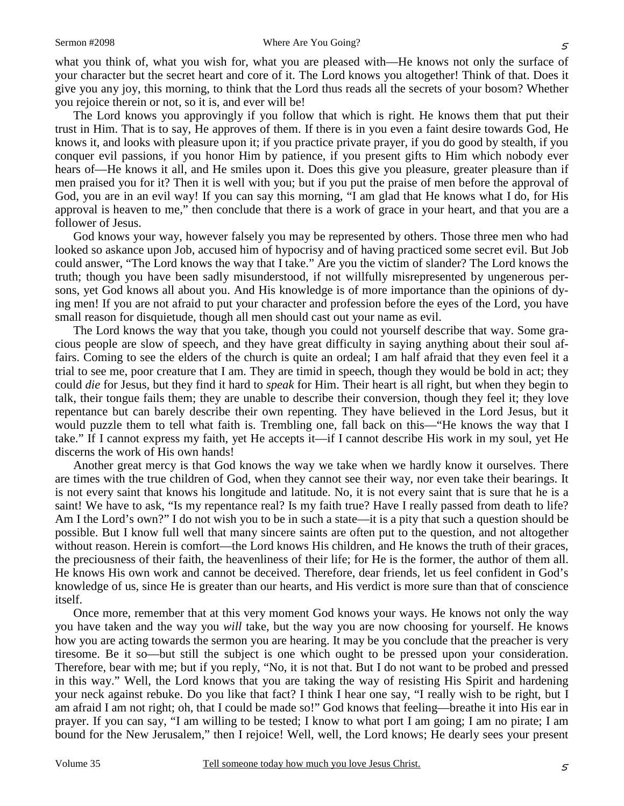what you think of, what you wish for, what you are pleased with—He knows not only the surface of your character but the secret heart and core of it. The Lord knows you altogether! Think of that. Does it give you any joy, this morning, to think that the Lord thus reads all the secrets of your bosom? Whether you rejoice therein or not, so it is, and ever will be!

The Lord knows you approvingly if you follow that which is right. He knows them that put their trust in Him. That is to say, He approves of them. If there is in you even a faint desire towards God, He knows it, and looks with pleasure upon it; if you practice private prayer, if you do good by stealth, if you conquer evil passions, if you honor Him by patience, if you present gifts to Him which nobody ever hears of—He knows it all, and He smiles upon it. Does this give you pleasure, greater pleasure than if men praised you for it? Then it is well with you; but if you put the praise of men before the approval of God, you are in an evil way! If you can say this morning, "I am glad that He knows what I do, for His approval is heaven to me," then conclude that there is a work of grace in your heart, and that you are a follower of Jesus.

God knows your way, however falsely you may be represented by others. Those three men who had looked so askance upon Job, accused him of hypocrisy and of having practiced some secret evil. But Job could answer, "The Lord knows the way that I take." Are you the victim of slander? The Lord knows the truth; though you have been sadly misunderstood, if not willfully misrepresented by ungenerous persons, yet God knows all about you. And His knowledge is of more importance than the opinions of dying men! If you are not afraid to put your character and profession before the eyes of the Lord, you have small reason for disquietude, though all men should cast out your name as evil.

The Lord knows the way that you take, though you could not yourself describe that way. Some gracious people are slow of speech, and they have great difficulty in saying anything about their soul affairs. Coming to see the elders of the church is quite an ordeal; I am half afraid that they even feel it a trial to see me, poor creature that I am. They are timid in speech, though they would be bold in act; they could *die* for Jesus, but they find it hard to *speak* for Him. Their heart is all right, but when they begin to talk, their tongue fails them; they are unable to describe their conversion, though they feel it; they love repentance but can barely describe their own repenting. They have believed in the Lord Jesus, but it would puzzle them to tell what faith is. Trembling one, fall back on this—"He knows the way that I take." If I cannot express my faith, yet He accepts it—if I cannot describe His work in my soul, yet He discerns the work of His own hands!

Another great mercy is that God knows the way we take when we hardly know it ourselves. There are times with the true children of God, when they cannot see their way, nor even take their bearings. It is not every saint that knows his longitude and latitude. No, it is not every saint that is sure that he is a saint! We have to ask, "Is my repentance real? Is my faith true? Have I really passed from death to life? Am I the Lord's own?" I do not wish you to be in such a state—it is a pity that such a question should be possible. But I know full well that many sincere saints are often put to the question, and not altogether without reason. Herein is comfort—the Lord knows His children, and He knows the truth of their graces, the preciousness of their faith, the heavenliness of their life; for He is the former, the author of them all. He knows His own work and cannot be deceived. Therefore, dear friends, let us feel confident in God's knowledge of us, since He is greater than our hearts, and His verdict is more sure than that of conscience itself.

Once more, remember that at this very moment God knows your ways. He knows not only the way you have taken and the way you *will* take, but the way you are now choosing for yourself. He knows how you are acting towards the sermon you are hearing. It may be you conclude that the preacher is very tiresome. Be it so—but still the subject is one which ought to be pressed upon your consideration. Therefore, bear with me; but if you reply, "No, it is not that. But I do not want to be probed and pressed in this way." Well, the Lord knows that you are taking the way of resisting His Spirit and hardening your neck against rebuke. Do you like that fact? I think I hear one say, "I really wish to be right, but I am afraid I am not right; oh, that I could be made so!" God knows that feeling—breathe it into His ear in prayer. If you can say, "I am willing to be tested; I know to what port I am going; I am no pirate; I am bound for the New Jerusalem," then I rejoice! Well, well, the Lord knows; He dearly sees your present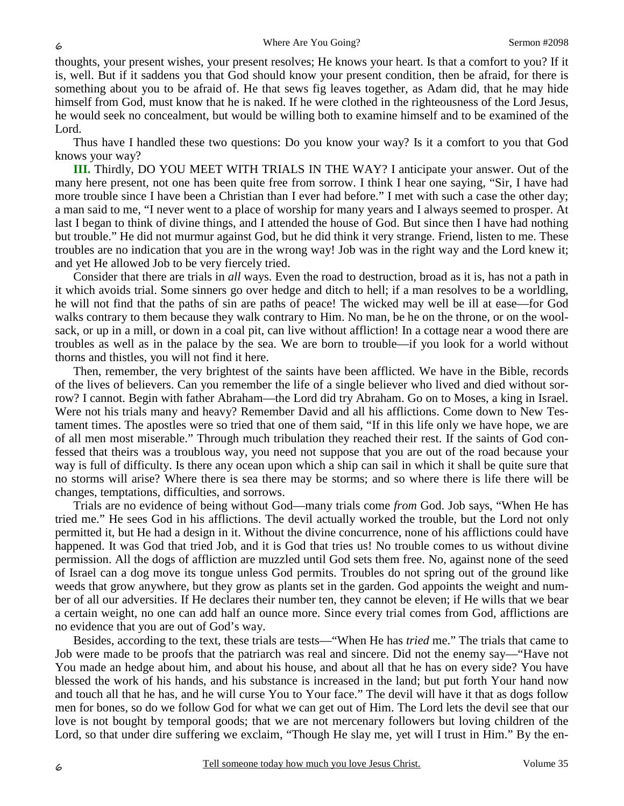thoughts, your present wishes, your present resolves; He knows your heart. Is that a comfort to you? If it is, well. But if it saddens you that God should know your present condition, then be afraid, for there is something about you to be afraid of. He that sews fig leaves together, as Adam did, that he may hide himself from God, must know that he is naked. If he were clothed in the righteousness of the Lord Jesus, he would seek no concealment, but would be willing both to examine himself and to be examined of the Lord.

Thus have I handled these two questions: Do you know your way? Is it a comfort to you that God knows your way?

**III.** Thirdly, DO YOU MEET WITH TRIALS IN THE WAY? I anticipate your answer. Out of the many here present, not one has been quite free from sorrow. I think I hear one saying, "Sir, I have had more trouble since I have been a Christian than I ever had before." I met with such a case the other day; a man said to me, "I never went to a place of worship for many years and I always seemed to prosper. At last I began to think of divine things, and I attended the house of God. But since then I have had nothing but trouble." He did not murmur against God, but he did think it very strange. Friend, listen to me. These troubles are no indication that you are in the wrong way! Job was in the right way and the Lord knew it; and yet He allowed Job to be very fiercely tried.

Consider that there are trials in *all* ways. Even the road to destruction, broad as it is, has not a path in it which avoids trial. Some sinners go over hedge and ditch to hell; if a man resolves to be a worldling, he will not find that the paths of sin are paths of peace! The wicked may well be ill at ease—for God walks contrary to them because they walk contrary to Him. No man, be he on the throne, or on the woolsack, or up in a mill, or down in a coal pit, can live without affliction! In a cottage near a wood there are troubles as well as in the palace by the sea. We are born to trouble—if you look for a world without thorns and thistles, you will not find it here.

Then, remember, the very brightest of the saints have been afflicted. We have in the Bible, records of the lives of believers. Can you remember the life of a single believer who lived and died without sorrow? I cannot. Begin with father Abraham—the Lord did try Abraham. Go on to Moses, a king in Israel. Were not his trials many and heavy? Remember David and all his afflictions. Come down to New Testament times. The apostles were so tried that one of them said, "If in this life only we have hope, we are of all men most miserable." Through much tribulation they reached their rest. If the saints of God confessed that theirs was a troublous way, you need not suppose that you are out of the road because your way is full of difficulty. Is there any ocean upon which a ship can sail in which it shall be quite sure that no storms will arise? Where there is sea there may be storms; and so where there is life there will be changes, temptations, difficulties, and sorrows.

Trials are no evidence of being without God—many trials come *from* God. Job says, "When He has tried me." He sees God in his afflictions. The devil actually worked the trouble, but the Lord not only permitted it, but He had a design in it. Without the divine concurrence, none of his afflictions could have happened. It was God that tried Job, and it is God that tries us! No trouble comes to us without divine permission. All the dogs of affliction are muzzled until God sets them free. No, against none of the seed of Israel can a dog move its tongue unless God permits. Troubles do not spring out of the ground like weeds that grow anywhere, but they grow as plants set in the garden. God appoints the weight and number of all our adversities. If He declares their number ten, they cannot be eleven; if He wills that we bear a certain weight, no one can add half an ounce more. Since every trial comes from God, afflictions are no evidence that you are out of God's way.

Besides, according to the text, these trials are tests—"When He has *tried* me." The trials that came to Job were made to be proofs that the patriarch was real and sincere. Did not the enemy say—"Have not You made an hedge about him, and about his house, and about all that he has on every side? You have blessed the work of his hands, and his substance is increased in the land; but put forth Your hand now and touch all that he has, and he will curse You to Your face." The devil will have it that as dogs follow men for bones, so do we follow God for what we can get out of Him. The Lord lets the devil see that our love is not bought by temporal goods; that we are not mercenary followers but loving children of the Lord, so that under dire suffering we exclaim, "Though He slay me, yet will I trust in Him." By the en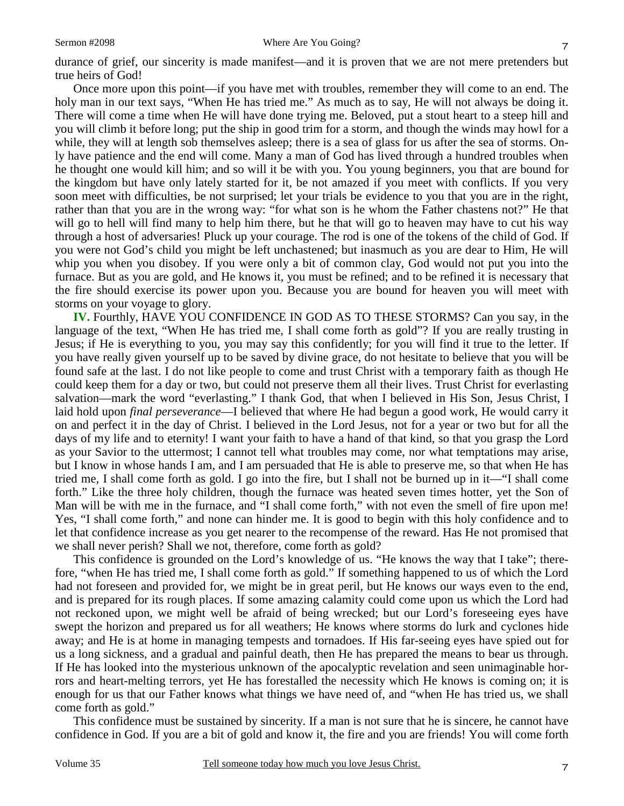durance of grief, our sincerity is made manifest—and it is proven that we are not mere pretenders but true heirs of God!

Once more upon this point—if you have met with troubles, remember they will come to an end. The holy man in our text says, "When He has tried me." As much as to say, He will not always be doing it. There will come a time when He will have done trying me. Beloved, put a stout heart to a steep hill and you will climb it before long; put the ship in good trim for a storm, and though the winds may howl for a while, they will at length sob themselves asleep; there is a sea of glass for us after the sea of storms. Only have patience and the end will come. Many a man of God has lived through a hundred troubles when he thought one would kill him; and so will it be with you. You young beginners, you that are bound for the kingdom but have only lately started for it, be not amazed if you meet with conflicts. If you very soon meet with difficulties, be not surprised; let your trials be evidence to you that you are in the right, rather than that you are in the wrong way: "for what son is he whom the Father chastens not?" He that will go to hell will find many to help him there, but he that will go to heaven may have to cut his way through a host of adversaries! Pluck up your courage. The rod is one of the tokens of the child of God. If you were not God's child you might be left unchastened; but inasmuch as you are dear to Him, He will whip you when you disobey. If you were only a bit of common clay, God would not put you into the furnace. But as you are gold, and He knows it, you must be refined; and to be refined it is necessary that the fire should exercise its power upon you. Because you are bound for heaven you will meet with storms on your voyage to glory.

**IV.** Fourthly, HAVE YOU CONFIDENCE IN GOD AS TO THESE STORMS? Can you say, in the language of the text, "When He has tried me, I shall come forth as gold"? If you are really trusting in Jesus; if He is everything to you, you may say this confidently; for you will find it true to the letter. If you have really given yourself up to be saved by divine grace, do not hesitate to believe that you will be found safe at the last. I do not like people to come and trust Christ with a temporary faith as though He could keep them for a day or two, but could not preserve them all their lives. Trust Christ for everlasting salvation—mark the word "everlasting." I thank God, that when I believed in His Son, Jesus Christ, I laid hold upon *final perseverance*—I believed that where He had begun a good work, He would carry it on and perfect it in the day of Christ. I believed in the Lord Jesus, not for a year or two but for all the days of my life and to eternity! I want your faith to have a hand of that kind, so that you grasp the Lord as your Savior to the uttermost; I cannot tell what troubles may come, nor what temptations may arise, but I know in whose hands I am, and I am persuaded that He is able to preserve me, so that when He has tried me, I shall come forth as gold. I go into the fire, but I shall not be burned up in it—"I shall come forth." Like the three holy children, though the furnace was heated seven times hotter, yet the Son of Man will be with me in the furnace, and "I shall come forth," with not even the smell of fire upon me! Yes, "I shall come forth," and none can hinder me. It is good to begin with this holy confidence and to let that confidence increase as you get nearer to the recompense of the reward. Has He not promised that we shall never perish? Shall we not, therefore, come forth as gold?

This confidence is grounded on the Lord's knowledge of us. "He knows the way that I take"; therefore, "when He has tried me, I shall come forth as gold." If something happened to us of which the Lord had not foreseen and provided for, we might be in great peril, but He knows our ways even to the end, and is prepared for its rough places. If some amazing calamity could come upon us which the Lord had not reckoned upon, we might well be afraid of being wrecked; but our Lord's foreseeing eyes have swept the horizon and prepared us for all weathers; He knows where storms do lurk and cyclones hide away; and He is at home in managing tempests and tornadoes. If His far-seeing eyes have spied out for us a long sickness, and a gradual and painful death, then He has prepared the means to bear us through. If He has looked into the mysterious unknown of the apocalyptic revelation and seen unimaginable horrors and heart-melting terrors, yet He has forestalled the necessity which He knows is coming on; it is enough for us that our Father knows what things we have need of, and "when He has tried us, we shall come forth as gold."

This confidence must be sustained by sincerity. If a man is not sure that he is sincere, he cannot have confidence in God. If you are a bit of gold and know it, the fire and you are friends! You will come forth